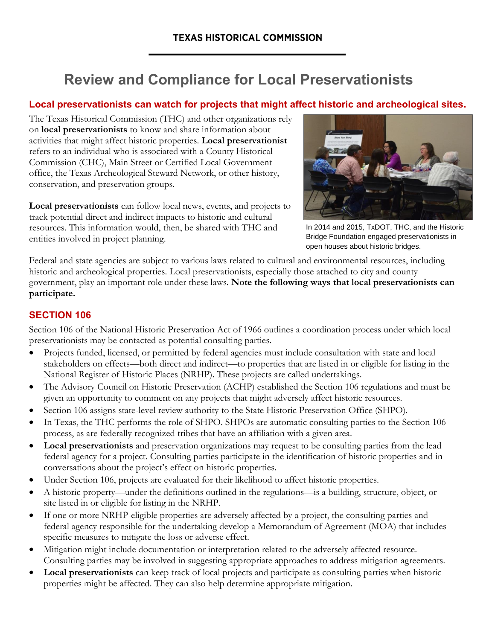# **Review and Compliance for Local Preservationists**

## **Local preservationists can watch for projects that might affect historic and archeological sites.**

The Texas Historical Commission (THC) and other organizations rely on **local preservationists** to know and share information about activities that might affect historic properties. **Local preservationist** refers to an individual who is associated with a County Historical Commission (CHC), Main Street or Certified Local Government office, the Texas Archeological Steward Network, or other history, conservation, and preservation groups.

**Local preservationists** can follow local news, events, and projects to track potential direct and indirect impacts to historic and cultural resources. This information would, then, be shared with THC and entities involved in project planning.



In 2014 and 2015, TxDOT, THC, and the Historic Bridge Foundation engaged preservationists in open houses about historic bridges.

Federal and state agencies are subject to various laws related to cultural and environmental resources, including historic and archeological properties. Local preservationists, especially those attached to city and county government, play an important role under these laws. **Note the following ways that local preservationists can participate.**

## **SECTION 106**

Section 106 of the National Historic Preservation Act of 1966 outlines a coordination process under which local preservationists may be contacted as potential consulting parties.

- Projects funded, licensed, or permitted by federal agencies must include consultation with state and local stakeholders on effects—both direct and indirect—to properties that are listed in or eligible for listing in the National Register of Historic Places (NRHP). These projects are called undertakings.
- The Advisory Council on Historic Preservation (ACHP) established the Section 106 regulations and must be given an opportunity to comment on any projects that might adversely affect historic resources.
- Section 106 assigns state-level review authority to the State Historic Preservation Office (SHPO).
- In Texas, the THC performs the role of SHPO. SHPOs are automatic consulting parties to the Section 106 process, as are federally recognized tribes that have an affiliation with a given area.
- **Local preservationists** and preservation organizations may request to be consulting parties from the lead federal agency for a project. Consulting parties participate in the identification of historic properties and in conversations about the project's effect on historic properties.
- Under Section 106, projects are evaluated for their likelihood to affect historic properties.
- A historic property—under the definitions outlined in the regulations—is a building, structure, object, or site listed in or eligible for listing in the NRHP.
- If one or more NRHP-eligible properties are adversely affected by a project, the consulting parties and federal agency responsible for the undertaking develop a Memorandum of Agreement (MOA) that includes specific measures to mitigate the loss or adverse effect.
- Mitigation might include documentation or interpretation related to the adversely affected resource. Consulting parties may be involved in suggesting appropriate approaches to address mitigation agreements.
- **Local preservationists** can keep track of local projects and participate as consulting parties when historic properties might be affected. They can also help determine appropriate mitigation.